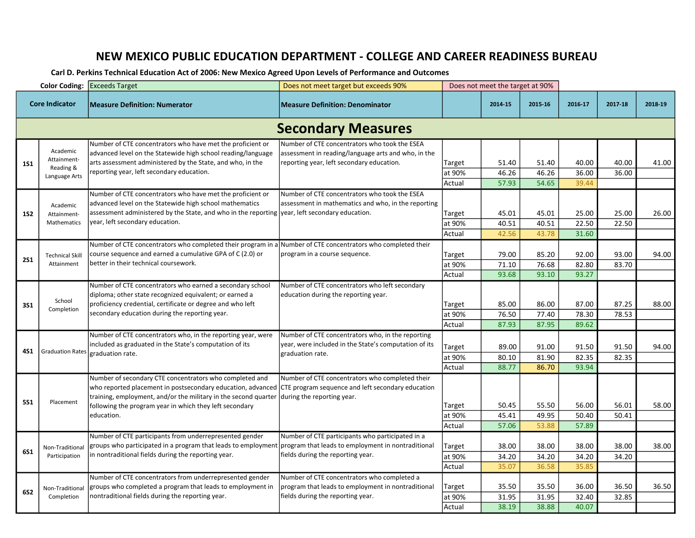## NEW MEXICO PUBLIC EDUCATION DEPARTMENT - COLLEGE AND CAREER READINESS BUREAU

Carl D. Perkins Technical Education Act of 2006: New Mexico Agreed Upon Levels of Performance and Outcomes

|                           |                                                       | <b>Color Coding: Exceeds Target</b>                                                                                                                                                                                                                                                               | Does not meet target but exceeds 90%                                                                                                              | Does not meet the target at 90% |                         |                         |                         |                |         |  |  |  |
|---------------------------|-------------------------------------------------------|---------------------------------------------------------------------------------------------------------------------------------------------------------------------------------------------------------------------------------------------------------------------------------------------------|---------------------------------------------------------------------------------------------------------------------------------------------------|---------------------------------|-------------------------|-------------------------|-------------------------|----------------|---------|--|--|--|
| <b>Core Indicator</b>     |                                                       | <b>Measure Definition: Numerator</b>                                                                                                                                                                                                                                                              | <b>Measure Definition: Denominator</b>                                                                                                            |                                 | 2014-15                 | 2015-16                 | 2016-17                 | 2017-18        | 2018-19 |  |  |  |
| <b>Secondary Measures</b> |                                                       |                                                                                                                                                                                                                                                                                                   |                                                                                                                                                   |                                 |                         |                         |                         |                |         |  |  |  |
| <b>1S1</b>                | Academic<br>Attainment-<br>Reading &<br>Language Arts | Number of CTE concentrators who have met the proficient or<br>advanced level on the Statewide high school reading/language<br>arts assessment administered by the State, and who, in the<br>reporting year, left secondary education.                                                             | Number of CTE concentrators who took the ESEA<br>assessment in reading/language arts and who, in the<br>reporting year, left secondary education. | Target<br>at 90%<br>Actual      | 51.40<br>46.26<br>57.93 | 51.40<br>46.26<br>54.65 | 40.00<br>36.00<br>39.44 | 40.00<br>36.00 | 41.00   |  |  |  |
| <b>1S2</b>                | Academic<br>Attainment-<br>Mathematics                | Number of CTE concentrators who have met the proficient or<br>advanced level on the Statewide high school mathematics<br>assessment administered by the State, and who in the reporting vear, left secondary education.<br>year, left secondary education.                                        | Number of CTE concentrators who took the ESEA<br>assessment in mathematics and who, in the reporting                                              | Target<br>at 90%<br>Actual      | 45.01<br>40.51<br>42.56 | 45.01<br>40.51<br>43.78 | 25.00<br>22.50<br>31.60 | 25.00<br>22.50 | 26.00   |  |  |  |
| <b>2S1</b>                | <b>Technical Skill</b><br>Attainment                  | Number of CTE concentrators who completed their program in a Number of CTE concentrators who completed their<br>course sequence and earned a cumulative GPA of C (2.0) or<br>better in their technical coursework.                                                                                | program in a course sequence.                                                                                                                     | Target<br>at 90%<br>Actual      | 79.00<br>71.10<br>93.68 | 85.20<br>76.68<br>93.10 | 92.00<br>82.80<br>93.27 | 93.00<br>83.70 | 94.00   |  |  |  |
| <b>3S1</b>                | School<br>Completion                                  | Number of CTE concentrators who earned a secondary school<br>diploma; other state recognized equivalent; or earned a<br>proficiency credential, certificate or degree and who left<br>secondary education during the reporting year.                                                              | Number of CTE concentrators who left secondary<br>education during the reporting year.                                                            | Target<br>at 90%<br>Actual      | 85.00<br>76.50<br>87.93 | 86.00<br>77.40<br>87.95 | 87.00<br>78.30<br>89.62 | 87.25<br>78.53 | 88.00   |  |  |  |
| 4S1                       | Graduation Rates                                      | Number of CTE concentrators who, in the reporting year, were<br>included as graduated in the State's computation of its<br>graduation rate.                                                                                                                                                       | Number of CTE concentrators who, in the reporting<br>year, were included in the State's computation of its<br>graduation rate.                    | Target<br>at 90%<br>Actual      | 89.00<br>80.10<br>88.77 | 91.00<br>81.90<br>86.70 | 91.50<br>82.35<br>93.94 | 91.50<br>82.35 | 94.00   |  |  |  |
| <b>5S1</b>                | Placement                                             | Number of secondary CTE concentrators who completed and<br>who reported placement in postsecondary education, advanced<br>training, employment, and/or the military in the second quarter $ $ during the reporting year.<br>following the program year in which they left secondary<br>education. | Number of CTE concentrators who completed their<br>CTE program sequence and left secondary education                                              | Target<br>at 90%<br>Actual      | 50.45<br>45.41<br>57.06 | 55.50<br>49.95<br>53.88 | 56.00<br>50.40<br>57.89 | 56.01<br>50.41 | 58.00   |  |  |  |
| 6S1                       | Non-Traditional<br>Participation                      | Number of CTE participants from underrepresented gender<br>groups who participated in a program that leads to employment<br>in nontraditional fields during the reporting year.                                                                                                                   | Number of CTE participants who participated in a<br>program that leads to employment in nontraditional<br>fields during the reporting year.       | Target<br>at 90%<br>Actual      | 38.00<br>34.20<br>35.07 | 38.00<br>34.20<br>36.58 | 38.00<br>34.20<br>35.85 | 38.00<br>34.20 | 38.00   |  |  |  |
| <b>6S2</b>                | Non-Traditional<br>Completion                         | Number of CTE concentrators from underrepresented gender<br>groups who completed a program that leads to employment in<br>nontraditional fields during the reporting year.                                                                                                                        | Number of CTE concentrators who completed a<br>program that leads to employment in nontraditional<br>fields during the reporting year.            | Target<br>at 90%<br>Actual      | 35.50<br>31.95<br>38.19 | 35.50<br>31.95<br>38.88 | 36.00<br>32.40<br>40.07 | 36.50<br>32.85 | 36.50   |  |  |  |